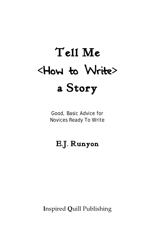# **Tell Me <**How to Write**> a Story**

Good, Basic Advice for Novices Ready To Write

### **E.J. Runyon**

**I**nspired **Q**uill Publishing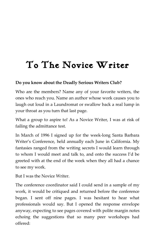### **To The Novice Writer**

#### **Do you know about the Deadly Serious Writers Club?**

Who are the members? Name any of your favorite writers, the ones who reach you. Name an author whose work causes you to laugh out loud in a Laundromat or swallow back a real lump in your throat as you turn that last page.

What a group to aspire to! As a Novice Writer, I was at risk of failing the admittance test.

In March of 1996 I signed up for the week-long Santa Barbara Writer's Conference, held annually each June in California. My fantasies ranged from the writing secrets I would learn through to whom I would meet and talk to, and onto the success I'd be greeted with at the end of the week when they all had a chance to see my work.

But I was the Novice Writer.

The conference coordinator said I could send in a sample of my work, it would be critiqued and returned before the conference began. I sent off nine pages. I was hesitant to hear what professionals would say. But I opened the response envelope anyway, expecting to see pages covered with polite margin notes echoing the suggestions that so many peer workshops had offered: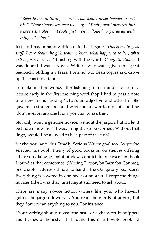*"Rewrite this in third person." "That would never happen in real life." "Your clauses are way too long." "Pretty word pictures, but where's the plot?" "People just aren't allowed to get away with things like this."*

Instead I read a hand-written note that began; *"This is really good stuff. I care about the girl, want to know what happened to her, what will happen to her. . ."* finishing with the word "*Congratulations!*" I was floored. I was a Novice Writer—why was I given this great feedback? Stifling my fears, I printed out clean copies and drove up the coast to attend.

To make matters worse, after listening to ten minutes or so of a lecture early in the first morning workshop I had to pass a note to a new friend, asking 'what's an adjective and adverb?' She gave me a strange look and wrote an answer to my note, adding 'don't ever let anyone know you had to ask this'.

Not only was I a genuine novice, without the jargon, but if I let it be known how fresh I was, I might also be scorned. Without that lingo, would I be allowed to be a part of the club?

Maybe you have this Deadly Serious Writer goal too. So you've selected this book. Plenty of good books sit on shelves offering advice on dialogue, point of view, conflict. In one excellent book I found at that conference, (Writing Fiction, by Barnaby Conrad), one chapter addressed how to handle the Obligatory Sex Scene. Everything is covered in one book or another. Except the things novices (like I was that June) might still need to ask about.

There are many novice fiction writers like you, who haven't gotten the jargon down yet. You read the words of advice, but they don't mean anything to you. For instance:

"Your writing should reveal the taste of a character in snippets and flashes of honesty." If I found this in a how-to book I'd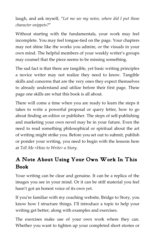laugh, and ask myself, "*Let me see my notes, where did I put those character snippets?*"

Without starting with the fundamentals, your work may feel incomplete. You may feel tongue-tied on the page. Your chapters may not shine like the works you admire, or the visuals in your own mind. The helpful members of your weekly writer's groups may counsel that the piece seems to be missing something.

The sad fact is that there are tangible, yet basic writing principles a novice writer may not realize they need to know. Tangible skills and concerns that are the very ones they expect themselves to already understand and utilize before their first page. These page one skills are what this book is all about.

There will come a time when you are ready to learn the steps it takes to write a powerful proposal or query letter, how to go about finding an editor or publisher. The steps of self-publishing and marketing your own novel may be in your future. Even the need to read something philosophical or spiritual about the art of writing might strike you. Before you set out to submit, publish or ponder your writing, you need to begin with the lessons here at *Tell Me <How to Write> a Story.*

#### **A Note About Using Your Own Work In This Book**

Your writing can be clear and genuine. It can be a replica of the images you see in your mind. Or it can be stiff material you feel hasn't got an honest voice of its own yet.

If you're familiar with my coaching website, Bridge to Story, you know how I structure things. I'll introduce a topic to help your writing get better, along with examples and exercises.

The exercises make use of your own work where they can. Whether you want to tighten up your completed short stories or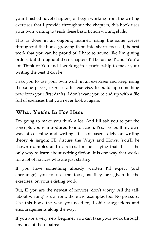your finished novel chapters, or begin working from the writing exercises that I provide throughout the chapters, this book uses your own writing to teach these basic fiction writing skills.

This is done in an ongoing manner, using the same pieces throughout the book, growing them into sharp, focused, honest work that you can be proud of. I hate to sound like I'm giving orders, but throughout these chapters I'll be using 'I' and 'You' a lot. Think of You and I working in a partnership to make your writing the best it can be.

I ask you to use your own work in all exercises and keep using the same pieces, exercise after exercise, to build up something new from your first drafts. I don't want you to end up with a file full of exercises that you never look at again.

#### **What You're In For Here**

I'm going to make you think a lot. And I'll ask you to put the concepts you're introduced to into action. Yes, I've built my own way of coaching and writing. It's not based solely on writing theory & jargon; I'll discuss the Whys and Hows. You'll be shown examples and exercises. I'm not saying that this is the only way to learn about writing fiction. It is one way that works for a lot of novices who are just starting.

If you have something already written I'll expect (and encourage) you to use the tools, as they are given in the exercises, on your existing work.

But, IF you are the newest of novices, don't worry. All the talk 'about writing' is up front; there are examples too. No pressure. Use this book the way you need to; I offer suggestions and encouragements along the way.

If you are a very new beginner you can take your work through any one of these paths: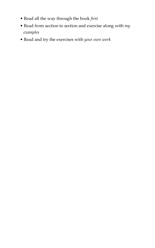- Read all the way through the book *first*
- Read from section to section and exercise along with *my examples*
- Read and try the exercises with *your own work*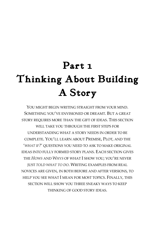## **Part 1 Thinking About Building A Story**

YOU MIGHT BEGIN WRITING STRAIGHT FROM YOUR MIND. SOMETHING YOU'VE ENVISIONED OR DREAMT. BUT A GREAT STORY REQUIRES MORE THAN THE GIFT OF IDEAS. THIS SECTION WILL TAKE YOU THROUGH THE FIRST STEPS FOR UNDERSTANDING WHAT A STORY NEEDS IN ORDER TO BE COMPLETE. YOU'LL LEARN ABOUT PREMISE, PLOT, AND THE '*WHAT IF?*' QUESTIONS YOU NEED TO ASK TO MAKE ORIGINAL IDEAS INTO FULLY FORMED STORY PLANS. EACH SECTION GIVES THE *HOWS* AND *WHYS* OF WHAT I SHOW YOU; YOU'RE NEVER JUST *TOLD WHAT TO DO*. WRITING EXAMPLES FROM REAL NOVICES ARE GIVEN, IN BOTH BEFORE AND AFTER VERSIONS, TO HELP YOU SEE WHAT I MEAN FOR MOST TOPICS. FINALLY, THIS SECTION WILL SHOW YOU THREE SNEAKY WAYS TO KEEP THINKING OF GOOD STORY IDEAS.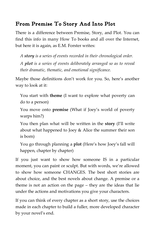#### **From Premise To Story And Into Plot**

There is a difference between Premise, Story, and Plot. You can find this info in many How To books and all over the Internet, but here it is again, as E.M. Forster writes:

*A story is a series of events recorded in their chronological order. A plot is a series of events deliberately arranged so as to reveal their dramatic, thematic, and emotional significance.*

Maybe those definitions don't work for you. So, here's another way to look at it:

You start with **theme** (I want to explore what poverty can do to a person)

You move onto **premise** (What if Joey's world of poverty warps him?)

You then plan what will be written in the **story** (I'll write about what happened to Joey & Alice the summer their son is born)

You go through planning a **plot** (Here's how Joey's fall will happen, chapter by chapter)

If you just want to show how someone IS in a particular moment, you can paint or sculpt. But with words, we're allowed to show how someone CHANGES. The best short stories are about choice, and the best novels about change. A premise or a theme is not an action on the page – they are the ideas that lie under the actions and motivations you give your characters.

If you can think of every chapter as a short story, use the choices made in each chapter to build a fuller, more developed character by your novel's end.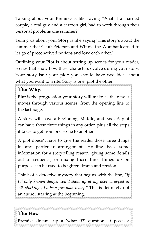Talking about your **Premise** is like saying 'What if a married couple, a real guy and a cartoon girl, had to work through their personal problems one summer?'

Telling us about your **Story** is like saying 'This story's about the summer that Geoff Peterson and Winnie the Wombat learned to let go of preconceived notions and love each other.'

Outlining your **Plot** is about setting up scenes for your reader; scenes that show how these characters evolve during your story. Your story isn't your plot: you should have two ideas about what you want to write. Story is one, plot the other.

#### **The Why:**

**Plot** is the progression your **story** will make as the reader moves through various scenes, from the opening line to the last page.

A story will have a Beginning, Middle, and End. A plot can have those three things in any order, plus all the steps it takes to get from one scene to another.

A plot doesn't have to give the reader those three things in any particular arrangement. Holding back some information for a storytelling reason, giving some details out of sequence, or mixing those three things up on purpose can be used to heighten drama and tension.

Think of a detective mystery that begins with the line, *"If I'd only known danger could show up at my door wrapped in silk stockings, I'd be a free man today."* This is definitely not an author starting at the beginning.

#### **The How:**

**Premise** dreams up a 'what if?' question. It poses a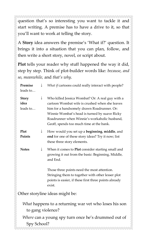question that's so interesting you want to tackle it and start writing. A premise has to have a drive to it, so that you'll want to work at telling the story.

A **Story** idea answers the premise's 'What if?' question. It brings it into a situation that you can plan, follow, and then write a short story, novel, or script about.

**Plot** tells your reader why stuff happened the way it did, step by step. Think of plot-builder words like: *because*, *and so*, *meanwhile,* and *that's why*.

**Premise** leads to… ↓ *What if* cartoons could really interact with people? **Story idea** leads to… ↓ Who killed Jessica Wombat? Or: A real guy with a cartoon Wombat wife is crushed when she leaves him for a handsomely drawn Roadrunner. Or: Winnie Wombat's head is turned by suave Ricky Roadrunner when Winnie's workaholic husband, Geoff, spends too much time at the bank. **Plot Points** ↓ How would you set up a **beginning**, **middle**, and **end** for one of these story ideas? Try it now; list these three story elements. **Notes** ↓ When it comes to **Plot** consider starting small and growing it out from the basic: Beginning, Middle, and End. Those three points need the most attention. Stringing them to together with other lesser plot points is easier, if these first three points already exist. Other storyline ideas might be: *What* happens to a returning war vet who loses his son to gang violence? *Where* can a young spy turn once he's drummed out of Spy School?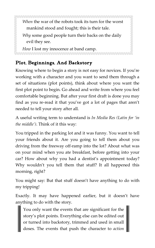*When* the war of the robots took its turn for the worst mankind stood and fought; this is their tale.

*Why* some good people turn their backs on the daily evil they see.

*How* I lost my innocence at band camp.

#### **Plot, Beginnings, And Backstory**

Knowing where to begin a story is not easy for novices. If you're working with a character and you want to send them through a set of situations (plot points), think about where you want the first plot point to begin. Go ahead and write from where you feel comfortable beginning. But after your first draft is done you may find as you re-read it that you've got a lot of pages that aren't needed to tell your story after all.

A useful writing term to understand is *In Media Res (Latin for 'in the middle')*. Think of it this way:

You tripped in the parking lot and it was funny. You want to tell your friends about it. Are you going to tell them about you driving from the freeway off-ramp into the lot? About what was on your mind when you ate breakfast, before getting into your car? How about why you had a dentist's appointment today? Why wouldn't you tell them that stuff? It all happened this morning, right?

You might say: But that stuff doesn't have anything to do with my tripping!

Exactly. It may have happened earlier, but it doesn't have anything to do with the story.

You only want the events that are significant for the story's plot points. Everything else can be edited out or turned into backstory, trimmed and used in small doses. The events that push the character to *action*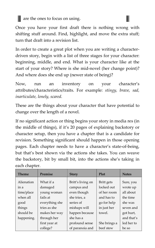#### are the ones to focus on using.

Once you have your first draft there is nothing wrong with shifting stuff around. Find, highlight, and move the extra stuff; turn that draft into a revision list.

Ш

In order to create a great plot when you are writing a characterdriven story, begin with a list of three stages for your character: beginning, middle, and end. What is your character like at the start of your story? Where is she mid-novel (her change point)? And where does she end up (newer state of being)?

Now, run an inventory on your character's attributes/characteristics/traits. For example: *stingy, brave, sad, inarticulate, lonely, scared.*

These are the things about your character that have potential to change over the length of a novel.

If no significant action or thing begins your story in media res (in the middle of things), if it's 20 pages of explaining backstory or character setup, then you have a chapter that is a candidate for revision. Something significant should happen in those opening pages. Each chapter needs to have a character's state-of-being, but that's best shown via the actions she takes. You can weave the backstory, bit by small bit, into the actions she's taking in each chapter.

| <b>Theme</b> | Premise        | <b>Story</b>      | Plot         | <b>Notes</b> |
|--------------|----------------|-------------------|--------------|--------------|
|              |                |                   |              |              |
| Alienation   | What if a      | Britt's living on | Britt gets   | Sure, you    |
| in a         | damaged        | campus and        | locked out   | wrote up     |
| time/place   | young woman    | even though       | of her room  | all about    |
| when all     | fails at       | she tries, a      | and has to   | the time     |
| good         | everything she | series of         | go for help  | she was      |
| things       | tries as she   | mishaps will      | in just her  | seven and    |
| should be    | makes her way  | happen because    | towel.       | got hurt,    |
| happening.   | through her    | she has a         |              | and that's   |
|              | first year at  | profound sense    | She brings a | led her to   |
|              | college?       | of paranoia and   | beef stew    | be so        |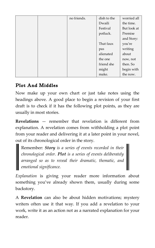|  | no friends. | dish to the | worried all |
|--|-------------|-------------|-------------|
|  |             | Dwaili      | the time.   |
|  |             | Festival    | But look at |
|  |             | potluck.    | Premise     |
|  |             |             | and Story:  |
|  |             | That faux   | you're      |
|  |             | pas         | writing     |
|  |             | alienated   | about       |
|  |             | the one     | now, not    |
|  |             | friend she  | then. So    |
|  |             | might       | begin with  |
|  |             | make.       | the now.    |

#### **Plot And Middles**

Now make up your own chart or just take notes using the headings above. A good place to begin a revision of your first draft is to check if it has the following plot points, as they are usually in most stories.

**Revelations** — remember that revelation is different from explanation. A revelation comes from withholding a plot point from your reader and delivering it at a later point in your novel, out of its chronological order in the story.

Remember: *Story is a series of events recorded in their chronological order. Plot is a series of events deliberately arranged so as to reveal their dramatic, thematic, and emotional significance.*

*Explanation* is giving your reader more information about something you've already shown them, usually during some backstory.

A **Revelation** can also be about hidden motivations; mystery writers often use it that way. If you add a revelation to your work, write it as an action not as a narrated explanation for your reader.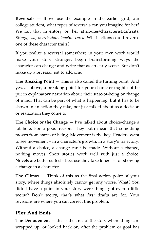**Reversals** — If we use the example in the earlier grid, our college student, what types of reversals can you imagine for her? We ran that inventory on her attributes/characteristics/traits: *Stingy, sad, inarticulate, lonely, scared.* What actions could reverse one of these character traits?

If you realize a reversal somewhere in your own work would make your story stronger, begin brainstorming ways the character can change and write that as an early scene. But don't make up a reversal just to add one.

**The Breaking Point** — This is also called the turning point. And yes, as above, a breaking point for your character ought not be put in explanatory narration about their state-of-being or change of mind. That can be part of what is happening, but it has to be shown in an action they take, not just talked about as a decision or realization they come to.

**The Choice or the Change** — I've talked about choice/change a lot here. For a good reason. They both mean that something moves from states-of-being. Movement is the key. Readers want to see movement – in a character's growth, in a story's trajectory. Without a choice, a change can't be made. Without a change, nothing moves. Short stories work well with just a choice. Novels are better suited – because they take longer – for showing a change in a character.

**The Climax** — Think of this as the final action point of your story, where things absolutely cannot get any worse. What? You didn't have a point in your story were things got even a little worse? Don't worry, that's what first drafts are for. Your revisions are where you can correct this problem.

#### **Plot And Ends**

**The Denouement** — this is the area of the story where things are wrapped up, or looked back on, after the problem or goal has